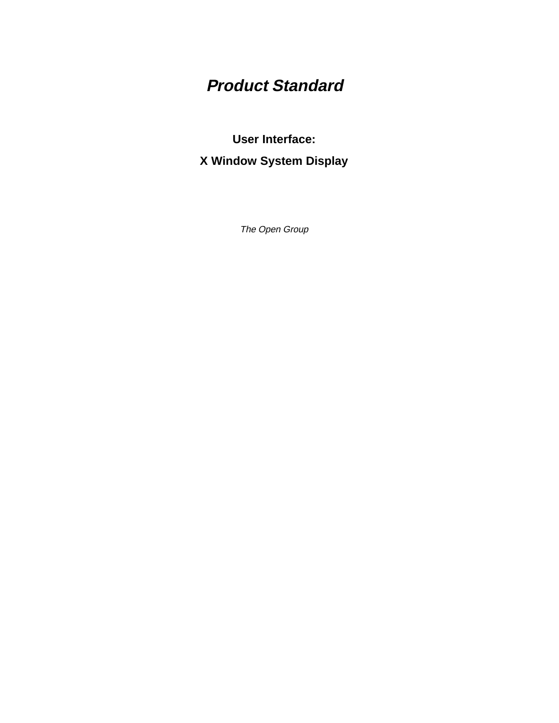# **Product Standard**

# **User Interface: X Window System Display**

The Open Group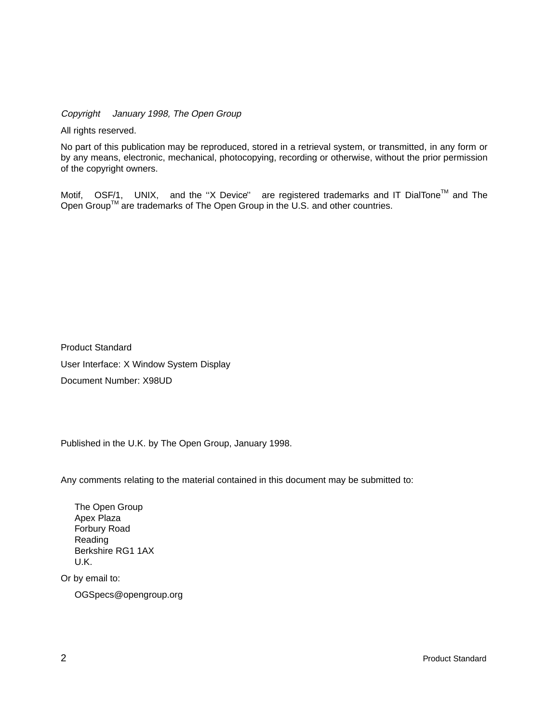Copyright  $\odot$  January 1998, The Open Group

All rights reserved.

No part of this publication may be reproduced, stored in a retrieval system, or transmitted, in any form or by any means, electronic, mechanical, photocopying, recording or otherwise, without the prior permission of the copyright owners.

Motif,  $^{\circledR}$  OSF/1,  $^{\circledR}$  UNIX,  $^{\circledR}$  and the "X Device" $^{\circledR}$  are registered trademarks and IT DialTone<sup>TM</sup> and The Open Group<sup>TM</sup> are trademarks of The Open Group in the U.S. and other countries.

Product Standard User Interface: X Window System Display Document Number: X98UD

Published in the U.K. by The Open Group, January 1998.

Any comments relating to the material contained in this document may be submitted to:

The Open Group Apex Plaza Forbury Road Reading Berkshire RG1 1AX U.K.

Or by email to:

OGSpecs@opengroup.org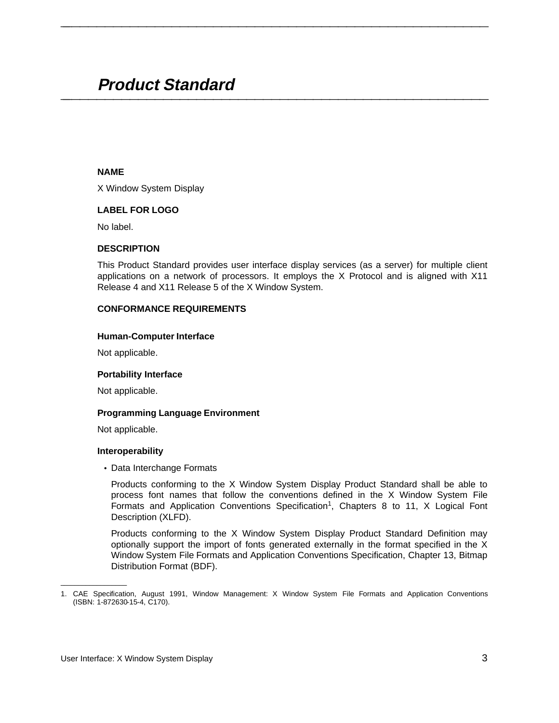# **Product Standard \_\_\_\_\_\_\_\_\_\_\_\_\_\_\_\_\_\_\_\_\_\_\_\_\_\_\_\_\_\_\_\_\_\_\_\_\_\_\_\_\_\_\_\_\_\_\_\_\_\_\_\_**

#### **NAME**

X Window System Display

# **LABEL FOR LOGO**

No label.

#### **DESCRIPTION**

This Product Standard provides user interface display services (as a server) for multiple client applications on a network of processors. It employs the X Protocol and is aligned with X11 Release 4 and X11 Release 5 of the X Window System.

**\_\_\_\_\_\_\_\_\_\_\_\_\_\_\_\_\_\_\_\_\_\_\_\_\_\_\_\_\_\_\_\_\_\_\_\_\_\_\_\_\_\_\_\_\_\_\_\_\_\_\_\_**

#### **CONFORMANCE REQUIREMENTS**

#### **Human-Computer Interface**

Not applicable.

#### **Portability Interface**

Not applicable.

#### **Programming Language Environment**

Not applicable.

#### **Interoperability**

• Data Interchange Formats

Products conforming to the X Window System Display Product Standard shall be able to process font names that follow the conventions defined in the X Window System File Formats and Application Conventions Specification<sup>1</sup>, Chapters 8 to 11,  $X$  Logical Font Description (XLFD).

Products conforming to the X Window System Display Product Standard Definition may optionally support the import of fonts generated externally in the format specified in the X Window System File Formats and Application Conventions Specification, Chapter 13, Bitmap Distribution Format (BDF).

\_\_\_\_\_\_\_\_\_\_\_\_\_\_\_\_\_\_

<sup>1.</sup> CAE Specification, August 1991, Window Management: X Window System File Formats and Application Conventions (ISBN: 1-872630-15-4, C170).